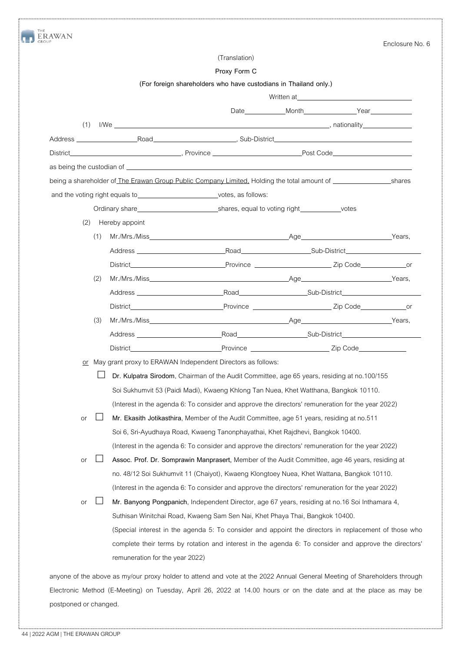|     |     |                                                                                                                                                                                                                                     |                                                                  |                                                                                                                                                                                                                                | Enclosure No. 6 |
|-----|-----|-------------------------------------------------------------------------------------------------------------------------------------------------------------------------------------------------------------------------------------|------------------------------------------------------------------|--------------------------------------------------------------------------------------------------------------------------------------------------------------------------------------------------------------------------------|-----------------|
|     |     |                                                                                                                                                                                                                                     | (Translation)                                                    |                                                                                                                                                                                                                                |                 |
|     |     |                                                                                                                                                                                                                                     | Proxy Form C                                                     |                                                                                                                                                                                                                                |                 |
|     |     |                                                                                                                                                                                                                                     | (For foreign shareholders who have custodians in Thailand only.) |                                                                                                                                                                                                                                |                 |
|     |     |                                                                                                                                                                                                                                     |                                                                  | Written at the contract of the contract of the contract of the contract of the contract of the contract of the contract of the contract of the contract of the contract of the contract of the contract of the contract of the |                 |
|     |     |                                                                                                                                                                                                                                     |                                                                  |                                                                                                                                                                                                                                |                 |
| (1) |     |                                                                                                                                                                                                                                     |                                                                  |                                                                                                                                                                                                                                |                 |
|     |     |                                                                                                                                                                                                                                     |                                                                  |                                                                                                                                                                                                                                |                 |
|     |     |                                                                                                                                                                                                                                     |                                                                  |                                                                                                                                                                                                                                |                 |
|     |     |                                                                                                                                                                                                                                     |                                                                  |                                                                                                                                                                                                                                |                 |
|     |     | being a shareholder of <i>The Erawan Group Public Company Limited</i> , Holding the total amount of <b>Shareholder of The Erawan Group Public Company Limited</b> , Holding the total amount of                                     |                                                                  |                                                                                                                                                                                                                                |                 |
|     |     | and the voting right equals to votes, as follows:                                                                                                                                                                                   |                                                                  |                                                                                                                                                                                                                                |                 |
|     |     | Ordinary share <b>Market School School School School</b> Shares, equal to voting right ordinary share ordinary share share share share share share share share share share share share share share share share share share share sh |                                                                  |                                                                                                                                                                                                                                |                 |
| (2) |     | Hereby appoint                                                                                                                                                                                                                      |                                                                  |                                                                                                                                                                                                                                |                 |
|     | (1) |                                                                                                                                                                                                                                     |                                                                  |                                                                                                                                                                                                                                |                 |
|     |     | Address Road Sub-District                                                                                                                                                                                                           |                                                                  |                                                                                                                                                                                                                                |                 |
|     |     |                                                                                                                                                                                                                                     |                                                                  |                                                                                                                                                                                                                                |                 |
|     | (2) |                                                                                                                                                                                                                                     |                                                                  |                                                                                                                                                                                                                                |                 |
|     |     |                                                                                                                                                                                                                                     |                                                                  |                                                                                                                                                                                                                                |                 |
|     |     |                                                                                                                                                                                                                                     |                                                                  |                                                                                                                                                                                                                                |                 |
|     | (3) |                                                                                                                                                                                                                                     |                                                                  |                                                                                                                                                                                                                                |                 |
|     |     | Address and the contract of the contract of the contract of the contract of the contract of the contract of the                                                                                                                     |                                                                  | Proad Road Communication Sub-District                                                                                                                                                                                          |                 |
|     |     | District <b>Executive Service</b> Service Service Service Service Service Service Service Service Service Service Service Service Service Service Service Service Service Service Service Service Service Service Service Service S |                                                                  | Province Zip Code                                                                                                                                                                                                              |                 |
|     |     | or May grant proxy to ERAWAN Independent Directors as follows:                                                                                                                                                                      |                                                                  |                                                                                                                                                                                                                                |                 |
|     |     | □ Dr. Kulpatra Sirodom, Chairman of the Audit Committee, age 65 years, residing at no.100/155                                                                                                                                       |                                                                  |                                                                                                                                                                                                                                |                 |
|     |     | Soi Sukhumvit 53 (Paidi Madi), Kwaeng Khlong Tan Nuea, Khet Watthana, Bangkok 10110.                                                                                                                                                |                                                                  |                                                                                                                                                                                                                                |                 |
|     |     | (Interest in the agenda 6: To consider and approve the directors' remuneration for the year 2022)                                                                                                                                   |                                                                  |                                                                                                                                                                                                                                |                 |
| or  |     | Mr. Ekasith Jotikasthira, Member of the Audit Committee, age 51 years, residing at no.511                                                                                                                                           |                                                                  |                                                                                                                                                                                                                                |                 |
|     |     | Soi 6, Sri-Ayudhaya Road, Kwaeng Tanonphayathai, Khet Rajdhevi, Bangkok 10400.                                                                                                                                                      |                                                                  |                                                                                                                                                                                                                                |                 |
|     |     | (Interest in the agenda 6: To consider and approve the directors' remuneration for the year 2022)                                                                                                                                   |                                                                  |                                                                                                                                                                                                                                |                 |
| or  |     | Assoc. Prof. Dr. Somprawin Manprasert, Member of the Audit Committee, age 46 years, residing at                                                                                                                                     |                                                                  |                                                                                                                                                                                                                                |                 |
|     |     | no. 48/12 Soi Sukhumvit 11 (Chaiyot), Kwaeng Klongtoey Nuea, Khet Wattana, Bangkok 10110.                                                                                                                                           |                                                                  |                                                                                                                                                                                                                                |                 |
|     |     | (Interest in the agenda 6: To consider and approve the directors' remuneration for the year 2022)                                                                                                                                   |                                                                  |                                                                                                                                                                                                                                |                 |
| or  |     | Mr. Banyong Pongpanich, Independent Director, age 67 years, residing at no.16 Soi Inthamara 4,                                                                                                                                      |                                                                  |                                                                                                                                                                                                                                |                 |
|     |     | Suthisan Winitchai Road, Kwaeng Sam Sen Nai, Khet Phaya Thai, Bangkok 10400.                                                                                                                                                        |                                                                  |                                                                                                                                                                                                                                |                 |
|     |     | (Special interest in the agenda 5: To consider and appoint the directors in replacement of those who                                                                                                                                |                                                                  |                                                                                                                                                                                                                                |                 |
|     |     | complete their terms by rotation and interest in the agenda 6: To consider and approve the directors'                                                                                                                               |                                                                  |                                                                                                                                                                                                                                |                 |
|     |     | remuneration for the year 2022)                                                                                                                                                                                                     |                                                                  |                                                                                                                                                                                                                                |                 |
|     |     |                                                                                                                                                                                                                                     |                                                                  |                                                                                                                                                                                                                                |                 |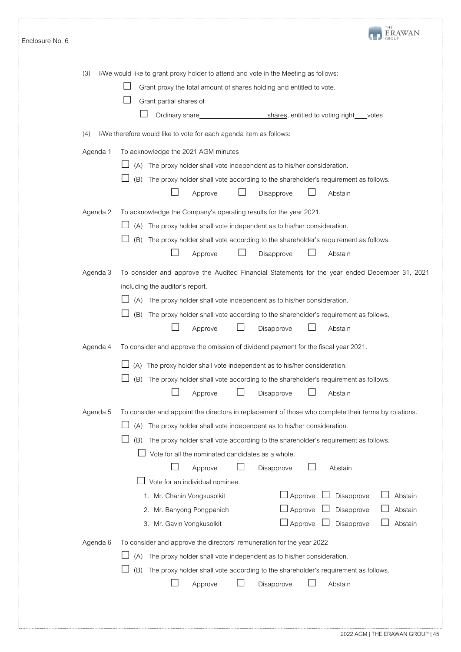| Enclosure No. 6 |          | THE<br>ERAWAN                                                                                                                                                                                                                                                                                                                                                                                                                                                                                                                                                                                                                      |
|-----------------|----------|------------------------------------------------------------------------------------------------------------------------------------------------------------------------------------------------------------------------------------------------------------------------------------------------------------------------------------------------------------------------------------------------------------------------------------------------------------------------------------------------------------------------------------------------------------------------------------------------------------------------------------|
|                 | (3)      | I/We would like to grant proxy holder to attend and vote in the Meeting as follows:<br>Grant proxy the total amount of shares holding and entitled to vote.<br>Grant partial shares of<br>Ordinary share_<br>shares, entitled to voting right ___votes                                                                                                                                                                                                                                                                                                                                                                             |
|                 | (4)      | I/We therefore would like to vote for each agenda item as follows:                                                                                                                                                                                                                                                                                                                                                                                                                                                                                                                                                                 |
|                 | Agenda 1 | To acknowledge the 2021 AGM minutes<br>(A) The proxy holder shall vote independent as to his/her consideration.<br>(B) The proxy holder shall vote according to the shareholder's requirement as follows.<br>Disapprove<br>Abstain<br>Approve                                                                                                                                                                                                                                                                                                                                                                                      |
|                 | Agenda 2 | To acknowledge the Company's operating results for the year 2021.<br>(A) The proxy holder shall vote independent as to his/her consideration.<br>(B)<br>The proxy holder shall vote according to the shareholder's requirement as follows.<br>Disapprove<br>Abstain<br>Approve                                                                                                                                                                                                                                                                                                                                                     |
|                 | Agenda 3 | To consider and approve the Audited Financial Statements for the year ended December 31, 2021<br>including the auditor's report.<br>(A) The proxy holder shall vote independent as to his/her consideration.<br>(B) The proxy holder shall vote according to the shareholder's requirement as follows.<br>Disapprove<br>Abstain<br>Approve                                                                                                                                                                                                                                                                                         |
|                 | Agenda 4 | To consider and approve the omission of dividend payment for the fiscal year 2021.<br>(A) The proxy holder shall vote independent as to his/her consideration.<br>(B) The proxy holder shall vote according to the shareholder's requirement as follows.<br>Disapprove<br>Abstain<br>Approve                                                                                                                                                                                                                                                                                                                                       |
|                 | Agenda 5 | To consider and appoint the directors in replacement of those who complete their terms by rotations.<br>(A) The proxy holder shall vote independent as to his/her consideration.<br>(B)<br>The proxy holder shall vote according to the shareholder's requirement as follows.<br>Vote for all the nominated candidates as a whole.<br>Disapprove<br>Abstain<br>Approve<br>Vote for an individual nominee.<br>$\Box$ Approve<br>Disapprove<br>Abstain<br>1. Mr. Chanin Vongkusolkit<br>$\Box$ Approve<br>Abstain<br>2. Mr. Banyong Pongpanich<br>Disapprove<br>$\Box$ Approve<br>Abstain<br>Disapprove<br>3. Mr. Gavin Vongkusolkit |
|                 | Agenda 6 | To consider and approve the directors' remuneration for the year 2022<br>The proxy holder shall vote independent as to his/her consideration.<br>(A)<br>(B)<br>The proxy holder shall vote according to the shareholder's requirement as follows.<br>Disapprove<br>Approve<br>Abstain                                                                                                                                                                                                                                                                                                                                              |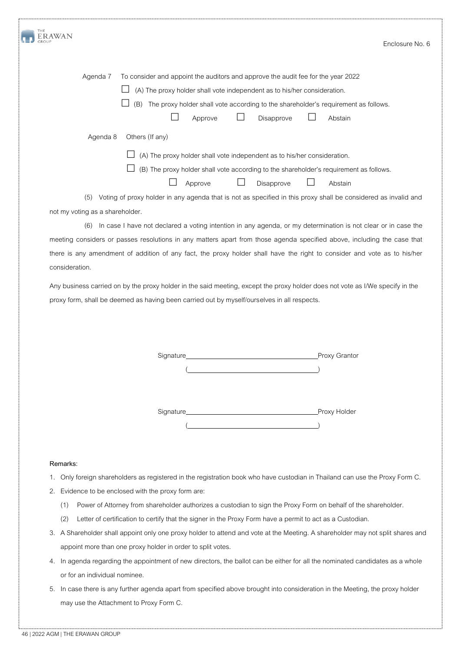| THE<br><b>ERAWAN</b>            |                                                                                                                          | Enclosure No. 6 |
|---------------------------------|--------------------------------------------------------------------------------------------------------------------------|-----------------|
|                                 |                                                                                                                          |                 |
| Agenda 7                        | To consider and appoint the auditors and approve the audit fee for the year 2022                                         |                 |
|                                 | (A) The proxy holder shall vote independent as to his/her consideration.                                                 |                 |
|                                 | (B) The proxy holder shall vote according to the shareholder's requirement as follows.                                   |                 |
|                                 | Disapprove<br>Approve<br>Abstain                                                                                         |                 |
| Agenda 8                        | Others (If any)                                                                                                          |                 |
|                                 | (A) The proxy holder shall vote independent as to his/her consideration.                                                 |                 |
|                                 | (B) The proxy holder shall vote according to the shareholder's requirement as follows.                                   |                 |
|                                 | Disapprove<br>Approve<br>Abstain                                                                                         |                 |
| (5)                             | Voting of proxy holder in any agenda that is not as specified in this proxy shall be considered as invalid and           |                 |
| not my voting as a shareholder. |                                                                                                                          |                 |
| (6)                             | In case I have not declared a voting intention in any agenda, or my determination is not clear or in case the            |                 |
|                                 | meeting considers or passes resolutions in any matters apart from those agenda specified above, including the case that  |                 |
|                                 | there is any amendment of addition of any fact, the proxy holder shall have the right to consider and vote as to his/her |                 |

Any business carried on by the proxy holder in the said meeting, except the proxy holder doesnot vote as I/We specify in the proxy form, shall be deemed as having been carried out by myself/ourselves in all respects.

Signature Proxy Grantor

 $($ 

Signature **Proxy Holder**  $\left( \begin{array}{c} 1 \\ 1 \end{array} \right)$ 

## **Remarks:**

consideration.

- 1. Only foreign shareholders as registered in the registration book who have custodian in Thailand can use the Proxy Form C.
- 2. Evidence to be enclosed with the proxy form are:
	- (1) Power of Attorney from shareholder authorizes a custodian to sign the Proxy Form on behalf of the shareholder.
	- (2) Letter of certification to certify that the signer in the Proxy Form have a permit to act as a Custodian.
- 3. A Shareholder shall appoint only one proxy holder to attend and vote at the Meeting. A shareholder may not split shares and appoint more than one proxy holder in order to split votes.
- 4. In agenda regarding the appointment of new directors, the ballot can be either for all the nominated candidates as a whole or for an individual nominee.
- 5. In case there is any further agenda apart from specified above brought into consideration in the Meeting, the proxy holder may use the Attachment to Proxy Form C.